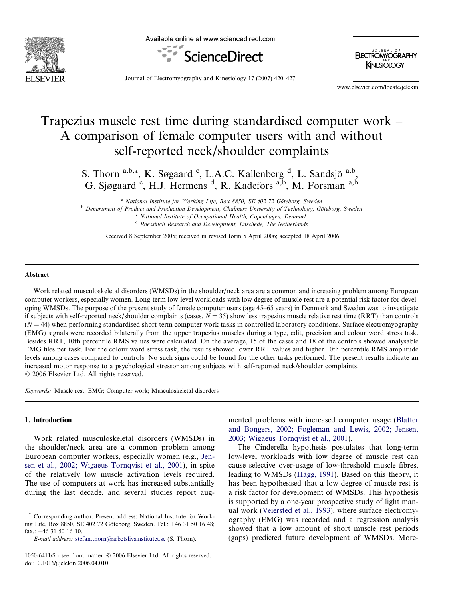

Available online at www.sciencedirect.com



**ELECTROMYOGRAPHY KINESIOLOGY** 

Journal of Electromyography and Kinesiology 17 (2007) 420–427

www.elsevier.com/locate/jelekin

# Trapezius muscle rest time during standardised computer work – A comparison of female computer users with and without self-reported neck/shoulder complaints

S. Thorn <sup>a,b,\*</sup>, K. Søgaard <sup>c</sup>, L.A.C. Kallenberg <sup>d</sup>, L. Sandsjö <sup>a,b</sup>, G. Sjøgaard <sup>c</sup>, H.J. Hermens <sup>d</sup>, R. Kadefors <sup>a,b</sup>, M. Forsman a,b

<sup>a</sup> National Institute for Working Life, Box 8850, SE 402 72 Göteborg, Sweden<br><sup>b</sup> Department of Product and Production Development, Chalmers University of Technology, Göteborg, Sweden<br><sup>c</sup> National Institute of Occupational

<sup>d</sup> Roessingh Research and Development, Enschede, The Netherlands

Received 8 September 2005; received in revised form 5 April 2006; accepted 18 April 2006

#### Abstract

Work related musculoskeletal disorders (WMSDs) in the shoulder/neck area are a common and increasing problem among European computer workers, especially women. Long-term low-level workloads with low degree of muscle rest are a potential risk factor for developing WMSDs. The purpose of the present study of female computer users (age 45–65 years) in Denmark and Sweden was to investigate if subjects with self-reported neck/shoulder complaints (cases,  $N = 35$ ) show less trapezius muscle relative rest time (RRT) than controls  $(N = 44)$  when performing standardised short-term computer work tasks in controlled laboratory conditions. Surface electromyography (EMG) signals were recorded bilaterally from the upper trapezius muscles during a type, edit, precision and colour word stress task. Besides RRT, 10th percentile RMS values were calculated. On the average, 15 of the cases and 18 of the controls showed analysable EMG files per task. For the colour word stress task, the results showed lower RRT values and higher 10th percentile RMS amplitude levels among cases compared to controls. No such signs could be found for the other tasks performed. The present results indicate an increased motor response to a psychological stressor among subjects with self-reported neck/shoulder complaints. © 2006 Elsevier Ltd. All rights reserved.

Keywords: Muscle rest; EMG; Computer work; Musculoskeletal disorders

#### 1. Introduction

Work related musculoskeletal disorders (WMSDs) in the shoulder/neck area are a common problem among European computer workers, especially women (e.g., [Jen](#page-6-0)[sen et al., 2002; Wigaeus Tornqvist et al., 2001\)](#page-6-0), in spite of the relatively low muscle activation levels required. The use of computers at work has increased substantially during the last decade, and several studies report augmented problems with increased computer usage ([Blatter](#page-6-0) [and Bongers, 2002; Fogleman and Lewis, 2002; Jensen,](#page-6-0) [2003; Wigaeus Tornqvist et al., 2001\)](#page-6-0).

The Cinderella hypothesis postulates that long-term low-level workloads with low degree of muscle rest can cause selective over-usage of low-threshold muscle fibres, leading to WMSDs (Hägg, 1991). Based on this theory, it has been hypothesised that a low degree of muscle rest is a risk factor for development of WMSDs. This hypothesis is supported by a one-year prospective study of light manual work ([Veiersted et al., 1993\)](#page-6-0), where surface electromyography (EMG) was recorded and a regression analysis showed that a low amount of short muscle rest periods (gaps) predicted future development of WMSDs. More-

Corresponding author. Present address: National Institute for Working Life, Box 8850, SE 402 72 Göteborg, Sweden. Tel.: +46 31 50 16 48; fax.: +46 31 50 16 10.

E-mail address: [stefan.thorn@arbetslivsinstitutet.se](mailto:stefan.thorn@arbetslivsinstitutet.se) (S. Thorn).

<sup>1050-6411/\$ -</sup> see front matter © 2006 Elsevier Ltd. All rights reserved. doi:10.1016/j.jelekin.2006.04.010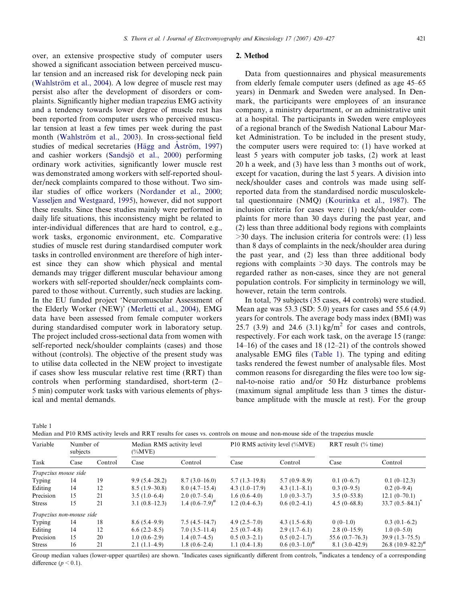<span id="page-1-0"></span>over, an extensive prospective study of computer users showed a significant association between perceived muscular tension and an increased risk for developing neck pain (Wahlström et al., 2004). A low degree of muscle rest may persist also after the development of disorders or complaints. Significantly higher median trapezius EMG activity and a tendency towards lower degree of muscle rest has been reported from computer users who perceived muscular tension at least a few times per week during the past month (Wahlström et al., 2003). In cross-sectional field studies of medical secretaries (Hägg and Åström, 1997) and cashier workers (Sandsjo¨ [et al., 2000](#page-6-0)) performing ordinary work activities, significantly lower muscle rest was demonstrated among workers with self-reported shoulder/neck complaints compared to those without. Two similar studies of office workers ([Nordander et al., 2000;](#page-6-0) [Vasseljen and Westgaard, 1995\)](#page-6-0), however, did not support these results. Since these studies mainly were performed in daily life situations, this inconsistency might be related to inter-individual differences that are hard to control, e.g., work tasks, ergonomic environment, etc. Comparative studies of muscle rest during standardised computer work tasks in controlled environment are therefore of high interest since they can show which physical and mental demands may trigger different muscular behaviour among workers with self-reported shoulder/neck complaints compared to those without. Currently, such studies are lacking. In the EU funded project 'Neuromuscular Assessment of the Elderly Worker (NEW)' [\(Merletti et al., 2004\)](#page-6-0), EMG data have been assessed from female computer workers during standardised computer work in laboratory setup. The project included cross-sectional data from women with self-reported neck/shoulder complaints (cases) and those without (controls). The objective of the present study was to utilise data collected in the NEW project to investigate if cases show less muscular relative rest time (RRT) than controls when performing standardised, short-term (2– 5 min) computer work tasks with various elements of physical and mental demands.

#### 2. Method

Data from questionnaires and physical measurements from elderly female computer users (defined as age 45–65 years) in Denmark and Sweden were analysed. In Denmark, the participants were employees of an insurance company, a ministry department, or an administrative unit at a hospital. The participants in Sweden were employees of a regional branch of the Swedish National Labour Market Administration. To be included in the present study, the computer users were required to: (1) have worked at least 5 years with computer job tasks, (2) work at least 20 h a week, and (3) have less than 3 months out of work, except for vacation, during the last 5 years. A division into neck/shoulder cases and controls was made using selfreported data from the standardised nordic musculoskeletal questionnaire (NMQ) ([Kourinka et al., 1987](#page-6-0)). The inclusion criteria for cases were: (1) neck/shoulder complaints for more than 30 days during the past year, and (2) less than three additional body regions with complaints >30 days. The inclusion criteria for controls were: (1) less than 8 days of complaints in the neck/shoulder area during the past year, and (2) less than three additional body regions with complaints >30 days. The controls may be regarded rather as non-cases, since they are not general population controls. For simplicity in terminology we will, however, retain the term controls.

In total, 79 subjects (35 cases, 44 controls) were studied. Mean age was 53.3 (SD: 5.0) years for cases and 55.6 (4.9) years for controls. The average body mass index (BMI) was 25.7 (3.9) and 24.6 (3.1) kg/m<sup>2</sup> for cases and controls, respectively. For each work task, on the average 15 (range: 14–16) of the cases and 18 (12–21) of the controls showed analysable EMG files (Table 1). The typing and editing tasks rendered the fewest number of analysable files. Most common reasons for disregarding the files were too low signal-to-noise ratio and/or 50 Hz disturbance problems (maximum signal amplitude less than 3 times the disturbance amplitude with the muscle at rest). For the group

Table 1

| Median and P10 RMS activity levels and RRT results for cases vs. controls on mouse and non-mouse side of the trapezius muscle |  |  |
|-------------------------------------------------------------------------------------------------------------------------------|--|--|
|-------------------------------------------------------------------------------------------------------------------------------|--|--|

| Variable<br>Task         | Number of<br>subjects |         | Median RMS activity level<br>$(\%MVE)$ |                     | P10 RMS activity level (%MVE) |                    | RRT result $(\%$ time) |                             |
|--------------------------|-----------------------|---------|----------------------------------------|---------------------|-------------------------------|--------------------|------------------------|-----------------------------|
|                          | Case                  | Control | Case                                   | Control             | Case                          | Control            | Case                   | Control                     |
| Trapezius mouse side     |                       |         |                                        |                     |                               |                    |                        |                             |
| Typing                   | 14                    | 19      | $9.9(5.4-28.2)$                        | $8.7(3.0-16.0)$     | $5.7(1.3-19.8)$               | $5.7(0.9-8.9)$     | $0.1(0-6.7)$           | $0.1(0-12.3)$               |
| Editing                  | 14                    | 12      | $8.5(1.9-30.8)$                        | $8.0(4.7-15.4)$     | $4.3(1.0-17.9)$               | $4.3(1.1-8.1)$     | $0.3(0-9.5)$           | $0.2(0-9.4)$                |
| Precision                | 15                    | 21      | $3.5(1.0-6.4)$                         | $2.0(0.7-5.4)$      | $1.6(0.6-4.0)$                | $1.0(0.3-3.7)$     | $3.5(0-53.8)$          | $12.1(0-70.1)$              |
| <b>Stress</b>            | 15                    | 21      | $3.1(0.8-12.3)$                        | 1.4 $(0.6-7.9)^{#}$ | $1.2(0.4-6.3)$                | $0.6(0.2-4.1)$     | $4.5(0-68.8)$          | $33.7(0.5-84.1)^{^{\circ}}$ |
| Trapezius non-mouse side |                       |         |                                        |                     |                               |                    |                        |                             |
| Typing                   | 14                    | 18      | 8.6(5.4–9.9)                           | $7.5(4.5-14.7)$     | 4.9 $(2.5-7.0)$               | $4.3(1.5-6.8)$     | $0(0-1.0)$             | $0.3(0.1-6.2)$              |
| Editing                  | 14                    | 12      | $6.6(2.2 - 8.5)$                       | $7.0(3.5-11.4)$     | $2.5(0.7-4.8)$                | $2.9(1.7-6.1)$     | $2.8(0-15.9)$          | $1.0(0-5.0)$                |
| Precision                | 15                    | 20      | $1.0(0.6-2.9)$                         | $1.4(0.7-4.5)$      | $0.5(0.3-2.1)$                | $0.5(0.2-1.7)$     | $55.6(0.7-76.3)$       | $39.9(1.3-75.5)$            |
| <b>Stress</b>            | 16                    | 21      | $2.1(1.1-4.9)$                         | $1.8(0.6-2.4)$      | $1.1(0.4-1.8)$                | $0.6(0.3-1.0)^{#}$ | $8.1(3.0-42.9)$        | $26.8$ $(10.9 - 82.2)^{#}$  |

Group median values (lower-upper quartiles) are shown. \*Indicates cases significantly different from controls, #indicates a tendency of a corresponding difference  $(p < 0.1)$ .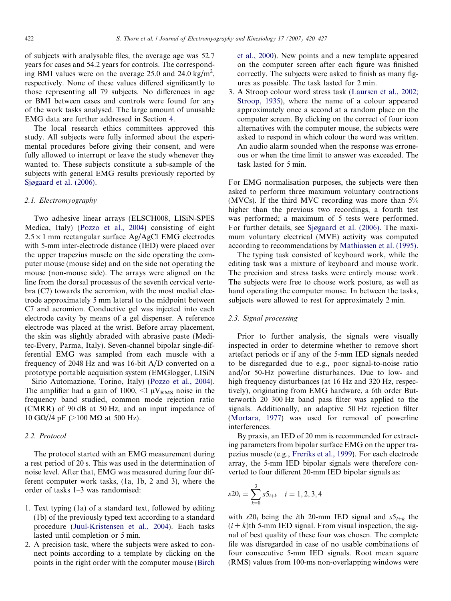of subjects with analysable files, the average age was 52.7 years for cases and 54.2 years for controls. The corresponding BMI values were on the average 25.0 and 24.0 kg/m<sup>2</sup>, respectively. None of these values differed significantly to those representing all 79 subjects. No differences in age or BMI between cases and controls were found for any of the work tasks analysed. The large amount of unusable EMG data are further addressed in Section [4.](#page-4-0)

The local research ethics committees approved this study. All subjects were fully informed about the experimental procedures before giving their consent, and were fully allowed to interrupt or leave the study whenever they wanted to. These subjects constitute a sub-sample of the subjects with general EMG results previously reported by [Sjøgaard et al. \(2006\)](#page-6-0).

### 2.1. Electromyography

Two adhesive linear arrays (ELSCH008, LISiN-SPES Medica, Italy) ([Pozzo et al., 2004](#page-6-0)) consisting of eight  $2.5 \times 1$  mm rectangular surface Ag/AgCl EMG electrodes with 5-mm inter-electrode distance (IED) were placed over the upper trapezius muscle on the side operating the computer mouse (mouse side) and on the side not operating the mouse (non-mouse side). The arrays were aligned on the line from the dorsal processus of the seventh cervical vertebra (C7) towards the acromion, with the most medial electrode approximately 5 mm lateral to the midpoint between C7 and acromion. Conductive gel was injected into each electrode cavity by means of a gel dispenser. A reference electrode was placed at the wrist. Before array placement, the skin was slightly abraded with abrasive paste (Meditec-Every, Parma, Italy). Seven-channel bipolar single-differential EMG was sampled from each muscle with a frequency of 2048 Hz and was 16-bit A/D converted on a prototype portable acquisition system (EMGlogger, LISiN – Sirio Automazione, Torino, Italy) [\(Pozzo et al., 2004\)](#page-6-0). The amplifier had a gain of 1000,  $\leq 1 \mu V_{RMS}$  noise in the frequency band studied, common mode rejection ratio (CMRR) of 90 dB at 50 Hz, and an input impedance of 10 GΩ//4 pF (>100 MΩ at 500 Hz).

# 2.2. Protocol

The protocol started with an EMG measurement during a rest period of 20 s. This was used in the determination of noise level. After that, EMG was measured during four different computer work tasks, (1a, 1b, 2 and 3), where the order of tasks 1–3 was randomised:

- 1. Text typing (1a) of a standard text, followed by editing (1b) of the previously typed text according to a standard procedure ([Juul-Kristensen et al., 2004\)](#page-6-0). Each tasks lasted until completion or 5 min.
- 2. A precision task, where the subjects were asked to connect points according to a template by clicking on the points in the right order with the computer mouse ([Birch](#page-6-0)

[et al., 2000\)](#page-6-0). New points and a new template appeared on the computer screen after each figure was finished correctly. The subjects were asked to finish as many figures as possible. The task lasted for 2 min.

3. A Stroop colour word stress task [\(Laursen et al., 2002;](#page-6-0) [Stroop, 1935](#page-6-0)), where the name of a colour appeared approximately once a second at a random place on the computer screen. By clicking on the correct of four icon alternatives with the computer mouse, the subjects were asked to respond in which colour the word was written. An audio alarm sounded when the response was erroneous or when the time limit to answer was exceeded. The task lasted for 5 min.

For EMG normalisation purposes, the subjects were then asked to perform three maximum voluntary contractions (MVCs). If the third MVC recording was more than 5% higher than the previous two recordings, a fourth test was performed; a maximum of 5 tests were performed. For further details, see [Sjøgaard et al. \(2006\)](#page-6-0). The maximum voluntary electrical (MVE) activity was computed according to recommendations by [Mathiassen et al. \(1995\)](#page-6-0).

The typing task consisted of keyboard work, while the editing task was a mixture of keyboard and mouse work. The precision and stress tasks were entirely mouse work. The subjects were free to choose work posture, as well as hand operating the computer mouse. In between the tasks, subjects were allowed to rest for approximately 2 min.

# 2.3. Signal processing

Prior to further analysis, the signals were visually inspected in order to determine whether to remove short artefact periods or if any of the 5-mm IED signals needed to be disregarded due to e.g., poor signal-to-noise ratio and/or 50-Hz powerline disturbances. Due to low- and high frequency disturbances (at 16 Hz and 320 Hz, respectively), originating from EMG hardware, a 6th order Butterworth 20–300 Hz band pass filter was applied to the signals. Additionally, an adaptive 50 Hz rejection filter [\(Mortara, 1977\)](#page-6-0) was used for removal of powerline interferences.

By praxis, an IED of 20 mm is recommended for extracting parameters from bipolar surface EMG on the upper trapezius muscle (e.g., [Freriks et al., 1999](#page-6-0)). For each electrode array, the 5-mm IED bipolar signals were therefore converted to four different 20-mm IED bipolar signals as:

$$
s20_i = \sum_{k=0}^{3} s5_{i+k} \quad i = 1, 2, 3, 4
$$

with  $s20_i$  being the *i*th 20-mm IED signal and  $s5_{i+k}$  the  $(i + k)$ th 5-mm IED signal. From visual inspection, the signal of best quality of these four was chosen. The complete file was disregarded in case of no usable combinations of four consecutive 5-mm IED signals. Root mean square (RMS) values from 100-ms non-overlapping windows were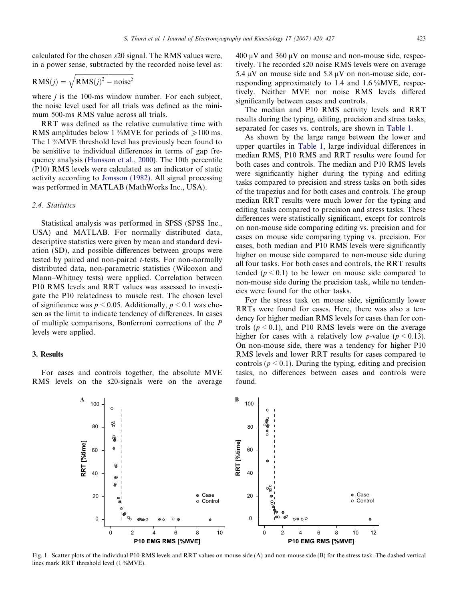<span id="page-3-0"></span>calculated for the chosen s20 signal. The RMS values were, in a power sense, subtracted by the recorded noise level as:

$$
RMS(j) = \sqrt{RMS(j)^2 - noise^2}
$$

where  $j$  is the 100-ms window number. For each subject, the noise level used for all trials was defined as the minimum 500-ms RMS value across all trials.

RRT was defined as the relative cumulative time with RMS amplitudes below 1 %MVE for periods of  $\geq 100$  ms. The 1 %MVE threshold level has previously been found to be sensitive to individual differences in terms of gap frequency analysis [\(Hansson et al., 2000](#page-6-0)). The 10th percentile (P10) RMS levels were calculated as an indicator of static activity according to [Jonsson \(1982\).](#page-6-0) All signal processing was performed in MATLAB (MathWorks Inc., USA).

## 2.4. Statistics

Statistical analysis was performed in SPSS (SPSS Inc., USA) and MATLAB. For normally distributed data, descriptive statistics were given by mean and standard deviation (SD), and possible differences between groups were tested by paired and non-paired t-tests. For non-normally distributed data, non-parametric statistics (Wilcoxon and Mann–Whitney tests) were applied. Correlation between P10 RMS levels and RRT values was assessed to investigate the P10 relatedness to muscle rest. The chosen level of significance was  $p \le 0.05$ . Additionally,  $p \le 0.1$  was chosen as the limit to indicate tendency of differences. In cases of multiple comparisons, Bonferroni corrections of the P levels were applied.

#### 3. Results

For cases and controls together, the absolute MVE RMS levels on the s20-signals were on the average  $400 \mu V$  and  $360 \mu V$  on mouse and non-mouse side, respectively. The recorded s20 noise RMS levels were on average 5.4  $\mu$ V on mouse side and 5.8  $\mu$ V on non-mouse side, corresponding approximately to 1.4 and 1.6 %MVE, respectively. Neither MVE nor noise RMS levels differed significantly between cases and controls.

The median and P10 RMS activity levels and RRT results during the typing, editing, precision and stress tasks, separated for cases vs. controls, are shown in [Table 1](#page-1-0).

As shown by the large range between the lower and upper quartiles in [Table 1](#page-1-0), large individual differences in median RMS, P10 RMS and RRT results were found for both cases and controls. The median and P10 RMS levels were significantly higher during the typing and editing tasks compared to precision and stress tasks on both sides of the trapezius and for both cases and controls. The group median RRT results were much lower for the typing and editing tasks compared to precision and stress tasks. These differences were statistically significant, except for controls on non-mouse side comparing editing vs. precision and for cases on mouse side comparing typing vs. precision. For cases, both median and P10 RMS levels were significantly higher on mouse side compared to non-mouse side during all four tasks. For both cases and controls, the RRT results tended ( $p < 0.1$ ) to be lower on mouse side compared to non-mouse side during the precision task, while no tendencies were found for the other tasks.

For the stress task on mouse side, significantly lower RRTs were found for cases. Here, there was also a tendency for higher median RMS levels for cases than for controls ( $p \le 0.1$ ), and P10 RMS levels were on the average higher for cases with a relatively low *p*-value ( $p \le 0.13$ ). On non-mouse side, there was a tendency for higher P10 RMS levels and lower RRT results for cases compared to controls ( $p < 0.1$ ). During the typing, editing and precision tasks, no differences between cases and controls were found.



Fig. 1. Scatter plots of the individual P10 RMS levels and RRT values on mouse side (A) and non-mouse side (B) for the stress task. The dashed vertical lines mark RRT threshold level (1 %MVE).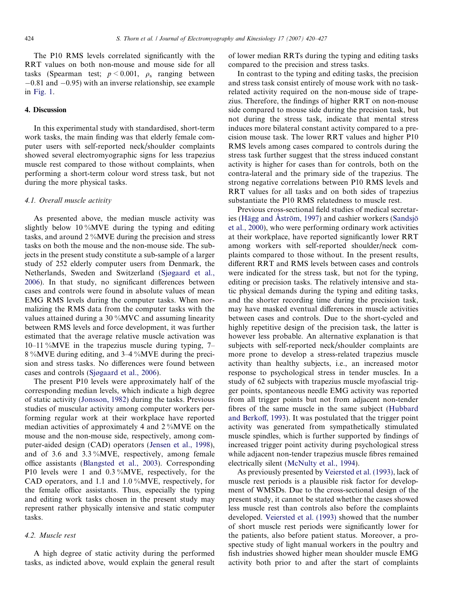<span id="page-4-0"></span>The P10 RMS levels correlated significantly with the RRT values on both non-mouse and mouse side for all tasks (Spearman test;  $p \le 0.001$ ,  $\rho_s$  ranging between  $-0.81$  and  $-0.95$ ) with an inverse relationship, see example in [Fig. 1.](#page-3-0)

#### 4. Discussion

In this experimental study with standardised, short-term work tasks, the main finding was that elderly female computer users with self-reported neck/shoulder complaints showed several electromyographic signs for less trapezius muscle rest compared to those without complaints, when performing a short-term colour word stress task, but not during the more physical tasks.

### 4.1. Overall muscle activity

As presented above, the median muscle activity was slightly below 10 % MVE during the typing and editing tasks, and around 2 %MVE during the precision and stress tasks on both the mouse and the non-mouse side. The subjects in the present study constitute a sub-sample of a larger study of 252 elderly computer users from Denmark, the Netherlands, Sweden and Switzerland [\(Sjøgaard et al.,](#page-6-0) [2006\)](#page-6-0). In that study, no significant differences between cases and controls were found in absolute values of mean EMG RMS levels during the computer tasks. When normalizing the RMS data from the computer tasks with the values attained during a 30 %MVC and assuming linearity between RMS levels and force development, it was further estimated that the average relative muscle activation was 10–11 %MVE in the trapezius muscle during typing, 7– 8 %MVE during editing, and 3–4 %MVE during the precision and stress tasks. No differences were found between cases and controls [\(Sjøgaard et al., 2006\)](#page-6-0).

The present P10 levels were approximately half of the corresponding median levels, which indicate a high degree of static activity [\(Jonsson, 1982\)](#page-6-0) during the tasks. Previous studies of muscular activity among computer workers performing regular work at their workplace have reported median activities of approximately 4 and 2 %MVE on the mouse and the non-mouse side, respectively, among computer-aided design (CAD) operators ([Jensen et al., 1998\)](#page-6-0), and of 3.6 and 3.3 %MVE, respectively, among female office assistants ([Blangsted et al., 2003](#page-6-0)). Corresponding P10 levels were 1 and 0.3 %MVE, respectively, for the CAD operators, and 1.1 and 1.0 %MVE, respectively, for the female office assistants. Thus, especially the typing and editing work tasks chosen in the present study may represent rather physically intensive and static computer tasks.

## 4.2. Muscle rest

A high degree of static activity during the performed tasks, as indicted above, would explain the general result of lower median RRTs during the typing and editing tasks compared to the precision and stress tasks.

In contrast to the typing and editing tasks, the precision and stress task consist entirely of mouse work with no taskrelated activity required on the non-mouse side of trapezius. Therefore, the findings of higher RRT on non-mouse side compared to mouse side during the precision task, but not during the stress task, indicate that mental stress induces more bilateral constant activity compared to a precision mouse task. The lower RRT values and higher P10 RMS levels among cases compared to controls during the stress task further suggest that the stress induced constant activity is higher for cases than for controls, both on the contra-lateral and the primary side of the trapezius. The strong negative correlations between P10 RMS levels and RRT values for all tasks and on both sides of trapezius substantiate the P10 RMS relatedness to muscle rest.

Previous cross-sectional field studies of medical secretaries (Hägg and Aström, 1997) and cashier workers (Sandsjö [et al., 2000\)](#page-6-0), who were performing ordinary work activities at their workplace, have reported significantly lower RRT among workers with self-reported shoulder/neck complaints compared to those without. In the present results, different RRT and RMS levels between cases and controls were indicated for the stress task, but not for the typing, editing or precision tasks. The relatively intensive and static physical demands during the typing and editing tasks, and the shorter recording time during the precision task, may have masked eventual differences in muscle activities between cases and controls. Due to the short-cycled and highly repetitive design of the precision task, the latter is however less probable. An alternative explanation is that subjects with self-reported neck/shoulder complaints are more prone to develop a stress-related trapezius muscle activity than healthy subjects, i.e., an increased motor response to psychological stress in tender muscles. In a study of 62 subjects with trapezius muscle myofascial trigger points, spontaneous needle EMG activity was reported from all trigger points but not from adjacent non-tender fibres of the same muscle in the same subject ([Hubbard](#page-6-0) [and Berkoff, 1993\)](#page-6-0). It was postulated that the trigger point activity was generated from sympathetically stimulated muscle spindles, which is further supported by findings of increased trigger point activity during psychological stress while adjacent non-tender trapezius muscle fibres remained electrically silent ([McNulty et al., 1994](#page-6-0)).

As previously presented by [Veiersted et al. \(1993\)](#page-6-0), lack of muscle rest periods is a plausible risk factor for development of WMSDs. Due to the cross-sectional design of the present study, it cannot be stated whether the cases showed less muscle rest than controls also before the complaints developed. [Veiersted et al. \(1993\)](#page-6-0) showed that the number of short muscle rest periods were significantly lower for the patients, also before patient status. Moreover, a prospective study of light manual workers in the poultry and fish industries showed higher mean shoulder muscle EMG activity both prior to and after the start of complaints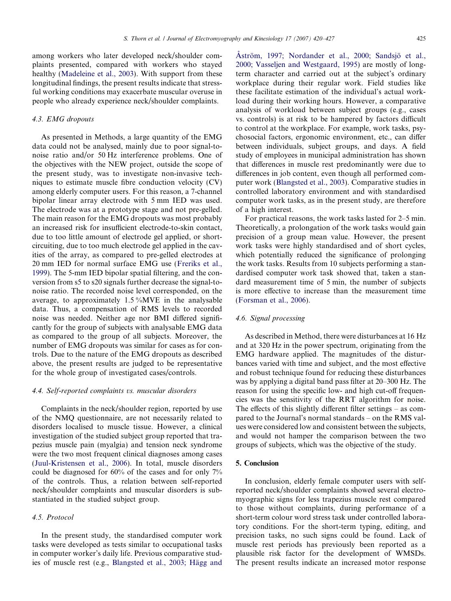among workers who later developed neck/shoulder complaints presented, compared with workers who stayed healthy ([Madeleine et al., 2003\)](#page-6-0). With support from these longitudinal findings, the present results indicate that stressful working conditions may exacerbate muscular overuse in people who already experience neck/shoulder complaints.

## 4.3. EMG dropouts

As presented in Methods, a large quantity of the EMG data could not be analysed, mainly due to poor signal-tonoise ratio and/or 50 Hz interference problems. One of the objectives with the NEW project, outside the scope of the present study, was to investigate non-invasive techniques to estimate muscle fibre conduction velocity (CV) among elderly computer users. For this reason, a 7-channel bipolar linear array electrode with 5 mm IED was used. The electrode was at a prototype stage and not pre-gelled. The main reason for the EMG dropouts was most probably an increased risk for insufficient electrode-to-skin contact, due to too little amount of electrode gel applied, or shortcircuiting, due to too much electrode gel applied in the cavities of the array, as compared to pre-gelled electrodes at 20 mm IED for normal surface EMG use ([Freriks et al.,](#page-6-0) [1999](#page-6-0)). The 5-mm IED bipolar spatial filtering, and the conversion from s5 to s20 signals further decrease the signal-tonoise ratio. The recorded noise level corresponded, on the average, to approximately  $1.5\%$ MVE in the analysable data. Thus, a compensation of RMS levels to recorded noise was needed. Neither age nor BMI differed significantly for the group of subjects with analysable EMG data as compared to the group of all subjects. Moreover, the number of EMG dropouts was similar for cases as for controls. Due to the nature of the EMG dropouts as described above, the present results are judged to be representative for the whole group of investigated cases/controls.

#### 4.4. Self-reported complaints vs. muscular disorders

Complaints in the neck/shoulder region, reported by use of the NMQ questionnaire, are not necessarily related to disorders localised to muscle tissue. However, a clinical investigation of the studied subject group reported that trapezius muscle pain (myalgia) and tension neck syndrome were the two most frequent clinical diagnoses among cases ([Juul-Kristensen et al., 2006](#page-6-0)). In total, muscle disorders could be diagnosed for 60% of the cases and for only 7% of the controls. Thus, a relation between self-reported neck/shoulder complaints and muscular disorders is substantiated in the studied subject group.

# 4.5. Protocol

In the present study, the standardised computer work tasks were developed as tests similar to occupational tasks in computer worker's daily life. Previous comparative studies of muscle rest (e.g., Blangsted et al., 2003; Hägg and Aström, 1997; Nordander et al., 2000; Sandsjö et al., [2000; Vasseljen and Westgaard, 1995](#page-6-0)) are mostly of longterm character and carried out at the subject's ordinary workplace during their regular work. Field studies like these facilitate estimation of the individual's actual workload during their working hours. However, a comparative analysis of workload between subject groups (e.g., cases vs. controls) is at risk to be hampered by factors difficult to control at the workplace. For example, work tasks, psychosocial factors, ergonomic environment, etc., can differ between individuals, subject groups, and days. A field study of employees in municipal administration has shown that differences in muscle rest predominantly were due to differences in job content, even though all performed computer work ([Blangsted et al., 2003\)](#page-6-0). Comparative studies in controlled laboratory environment and with standardised computer work tasks, as in the present study, are therefore of a high interest.

For practical reasons, the work tasks lasted for 2–5 min. Theoretically, a prolongation of the work tasks would gain precision of a group mean value. However, the present work tasks were highly standardised and of short cycles, which potentially reduced the significance of prolonging the work tasks. Results from 10 subjects performing a standardised computer work task showed that, taken a standard measurement time of 5 min, the number of subjects is more effective to increase than the measurement time ([Forsman et al., 2006](#page-6-0)).

# 4.6. Signal processing

As described in Method, there were disturbances at 16 Hz and at 320 Hz in the power spectrum, originating from the EMG hardware applied. The magnitudes of the disturbances varied with time and subject, and the most effective and robust technique found for reducing these disturbances was by applying a digital band pass filter at 20–300 Hz. The reason for using the specific low- and high cut-off frequencies was the sensitivity of the RRT algorithm for noise. The effects of this slightly different filter settings – as compared to the Journal's normal standards – on the RMS values were considered low and consistent between the subjects, and would not hamper the comparison between the two groups of subjects, which was the objective of the study.

### 5. Conclusion

In conclusion, elderly female computer users with selfreported neck/shoulder complaints showed several electromyographic signs for less trapezius muscle rest compared to those without complaints, during performance of a short-term colour word stress task under controlled laboratory conditions. For the short-term typing, editing, and precision tasks, no such signs could be found. Lack of muscle rest periods has previously been reported as a plausible risk factor for the development of WMSDs. The present results indicate an increased motor response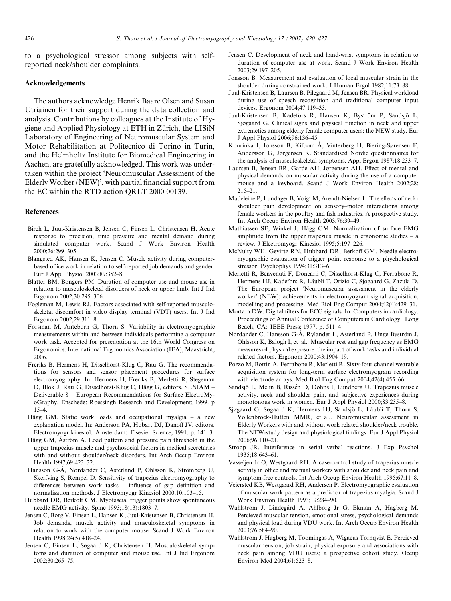<span id="page-6-0"></span>to a psychological stressor among subjects with selfreported neck/shoulder complaints.

### Acknowledgements

The authors acknowledge Henrik Baare Olsen and Susan Utriainen for their support during the data collection and analysis. Contributions by colleagues at the Institute of Hygiene and Applied Physiology at ETH in Zürich, the LISiN Laboratory of Engineering of Neuromuscular System and Motor Rehabilitation at Politecnico di Torino in Turin, and the Helmholtz Institute for Biomedical Engineering in Aachen, are gratefully acknowledged. This work was undertaken within the project 'Neuromuscular Assessment of the Elderly Worker (NEW)', with partial financial support from the EC within the RTD action QRLT 2000 00139.

#### References

- Birch L, Juul-Kristensen B, Jensen C, Finsen L, Christensen H. Acute response to precision, time pressure and mental demand during simulated computer work. Scand J Work Environ Health 2000;26:299–305.
- Blangsted AK, Hansen K, Jensen C. Muscle activity during computerbased office work in relation to self-reported job demands and gender. Eur J Appl Physiol 2003;89:352–8.
- Blatter BM, Bongers PM. Duration of computer use and mouse use in relation to musculoskeletal disorders of neck or upper limb. Int J Ind Ergonom 2002;30:295–306.
- Fogleman M, Lewis RJ. Factors associated with self-reported musculoskeletal discomfort in video display terminal (VDT) users. Int J Ind Ergonom 2002;29:311–8.
- Forsman M, Anteborn G, Thorn S. Variability in electromyographic measurements within and between individuals performing a computer work task. Accepted for presentation at the 16th World Congress on Ergonomics. International Ergonomics Association (IEA), Maastricht, 2006.
- Freriks B, Hermens H, Disselhorst-Klug C, Rau G. The recommendations for sensors and sensor placement procedures for surface electromyography. In: Hermens H, Freriks B, Merletti R, Stegeman D, Blok J, Rau G, Disselhorst-Klug C, Hägg G, editors. SENIAM -Deliverable 8 – European Recommendations for Surface ElectroMyoGraphy. Enschede: Roessingh Research and Development; 1999. p 15–4.
- Hägg GM. Static work loads and occupational myalgia a new explanation model. In: Anderson PA, Hobart DJ, Danoff JV, editors. Electromyogr kinesiol. Amsterdam: Elsevier Science; 1991. p. 141–3.
- Hägg GM, Aström A. Load pattern and pressure pain threshold in the upper trapezius muscle and psychosocial factors in medical secretaries with and without shoulder/neck disorders. Int Arch Occup Environ Health 1997;69:423–32.
- Hansson G-A<sup>\*</sup>, Nordander C, Asterland P, Ohlsson K, Strömberg U, Skerfving S, Rempel D. Sensitivity of trapezius electromyography to differences between work tasks – influence of gap definition and normalisation methods. J Electromyogr Kinesiol 2000;10:103–15.
- Hubbard DR, Berkoff GM. Myofascial trigger points show spontaneous needle EMG activity. Spine 1993;18(13):1803–7.
- Jensen C, Borg V, Finsen L, Hansen K, Juul-Kristensen B, Christensen H. Job demands, muscle activity and musculoskeletal symptoms in relation to work with the computer mouse. Scand J Work Environ Health 1998;24(5):418–24.
- Jensen C, Finsen L, Søgaard K, Christensen H. Musculoskeletal symptoms and duration of computer and mouse use. Int J Ind Ergonom 2002;30:265–75.
- Jensen C. Development of neck and hand-wrist symptoms in relation to duration of computer use at work. Scand J Work Environ Health 2003;29:197–205.
- Jonsson B. Measurement and evaluation of local muscular strain in the shoulder during constrained work. J Human Ergol 1982;11:73–88.
- Juul-Kristensen B, Laursen B, Pilegaard M, Jensen BR. Physical workload during use of speech recognition and traditional computer input devices. Ergonom 2004;47:119–33.
- Juul-Kristensen B, Kadefors R, Hansen K, Byström P, Sandsjö L, Sjøgaard G. Clinical signs and physical function in neck and upper extremeties among elderly female computer users: the NEW study. Eur J Appl Physiol 2006;96:136–45.
- Kourinka I, Jonsson B, Kilbom Å, Vinterberg H, Biering-Sørensen F, Andersson G, Jørgensen K. Standardised Nordic questionnaires for the analysis of musculoskeletal symptoms. Appl Ergon 1987;18:233–7.
- Laursen B, Jensen BR, Garde AH, Jørgensen AH. Effect of mental and physical demands on muscular activity during the use of a computer mouse and a keyboard. Scand J Work Environ Health 2002;28: 215–21.
- Madeleine P, Lundager B, Voigt M, Arendt-Nielsen L. The effects of neckshoulder pain development on sensory–motor interactions among female workers in the poultry and fish industries. A prospective study. Int Arch Occup Environ Health 2003;76:39–49.
- Mathiassen SE, Winkel J, Hägg GM. Normalization of surface EMG amplitude from the upper trapezius muscle in ergonomic studies – a review. J Electromyogr Kinesiol 1995;5:197–226.
- McNulty WH, Gevirtz RN, Hubbard DR, Berkoff GM. Needle electromyographic evaluation of trigger point response to a phychological stressor. Psychophys 1994;31:313–6.
- Merletti R, Benvenuti F, Doncarli C, Disselhorst-Klug C, Ferrabone R, Hermens HJ, Kadefors R, Läubli T, Orizio C, Sjøgaard G, Zazula D. The European project 'Neuromuscular assessment in the elderly worker' (NEW): achievements in electromyogram signal acquisition, modelling and processing. Med Biol Eng Comput 2004;42(4):429–31.
- Mortara DW. Digital filters for ECG signals. In: Computers in cardiology. Proceedings of Annual Conference of Computers in Cardiology. Long Beach, CA: IEEE Press; 1977. p. 511–4.
- Nordander C, Hansson G-A, Rylander L, Asterland P, Unge Byström J, Ohlsson K, Balogh I, et al.. Muscular rest and gap frequency as EMG measures of physical exposure: the impact of work tasks and individual related factors. Ergonom 2000;43:1904–19.
- Pozzo M, Bottin A, Ferrabone R, Merletti R. Sixty-four channel wearable acquisition system for long-term surface electromyogram recording with electrode arrays. Med Biol Eng Comput 2004;42(4):455–66.
- Sandsjö L, Melin B, Rissén D, Dohns I, Lundberg U. Trapezius muscle activity, neck and shoulder pain, and subjective experiences during monotonous work in women. Eur J Appl Physiol 2000;83:235–8.
- Sjøgaard G, Søgaard K, Hermens HJ, Sandsjö L, Läubli T, Thorn S, Vollenbroek-Hutten MMR, et al.. Neuromuscular assessment in Elderly Workers with and without work related shoulder/neck trouble. The NEW-study design and physiological findings. Eur J Appl Physiol 2006;96:110–21.
- Stroop JR. Interference in serial verbal reactions. J Exp Psychol 1935;18:643–61.
- Vasseljen Jr O, Westgaard RH. A case-control study of trapezius muscle activity in office and manual workers with shoulder and neck pain and symptom-free controls. Int Arch Occup Environ Health 1995;67:11–8.
- Veiersted KB, Westgaard RH, Andersen P. Electromyographic evaluation of muscular work pattern as a predictor of trapezius myalgia. Scand J Work Environ Health 1993;19:284–90.
- Wahlström J, Lindegård A, Ahlborg Jr G, Ekman A, Hagberg M. Percieved muscular tension, emotional stress, psychological demands and physical load during VDU work. Int Arch Occup Environ Health 2003;76:584–90.
- Wahlström J, Hagberg M, Toomingas A, Wigaeus Tornqvist E. Percieved muscular tension, job strain, physical exposure and associations with neck pain among VDU users; a prospective cohort study. Occup Environ Med 2004;61:523–8.